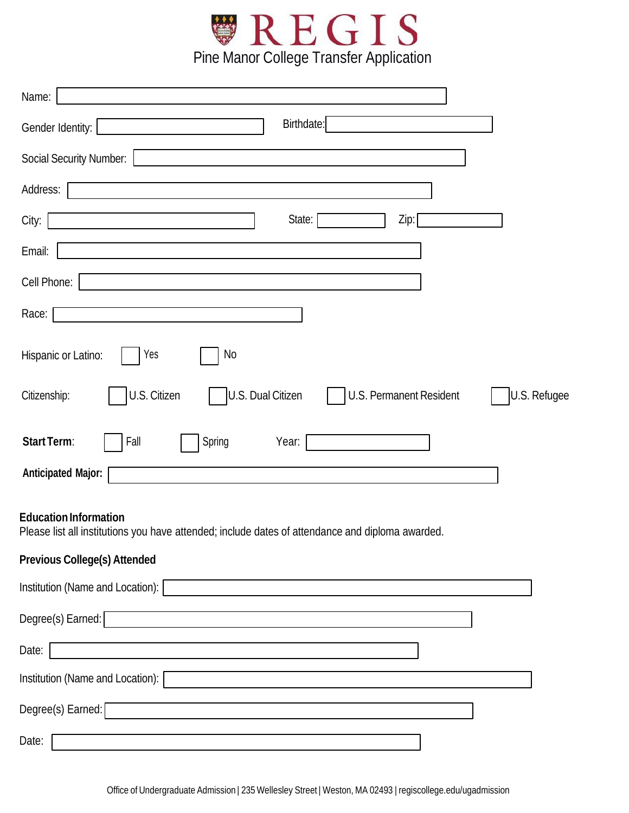

| Name:                                                                                        |
|----------------------------------------------------------------------------------------------|
| Birthdate:<br>Gender Identity:                                                               |
| <b>Social Security Number:</b>                                                               |
| Address:                                                                                     |
| State:<br>Zip:<br>City:                                                                      |
| Email:                                                                                       |
| Cell Phone:                                                                                  |
| Race:                                                                                        |
| Yes<br>No<br>Hispanic or Latino:                                                             |
| U.S. Citizen<br>U.S. Dual Citizen<br>U.S. Refugee<br>U.S. Permanent Resident<br>Citizenship: |
| Start Term:<br>Spring<br>Fall<br>Year:                                                       |
| <b>Anticipated Major:</b>                                                                    |

## **Education Information**

Please list all institutions you have attended; include dates of attendance and diploma awarded.

# **Previous College(s) Attended**

| Institution (Name and Location): |  |
|----------------------------------|--|
| Degree(s) Earned:                |  |
| Date:                            |  |
| Institution (Name and Location): |  |
| Degree(s) Earned:                |  |
| Date:                            |  |